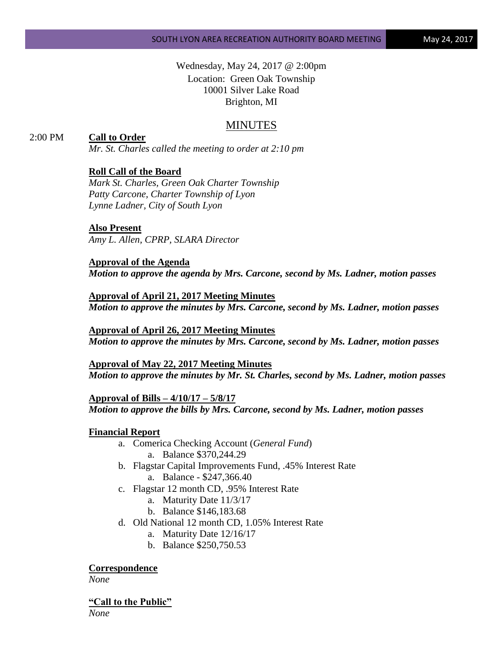Wednesday, May 24, 2017 @ 2:00pm Location: Green Oak Township 10001 Silver Lake Road Brighton, MI

# MINUTES

### 2:00 PM **Call to Order**

*Mr. St. Charles called the meeting to order at 2:10 pm*

### **Roll Call of the Board**

*Mark St. Charles, Green Oak Charter Township Patty Carcone, Charter Township of Lyon Lynne Ladner, City of South Lyon* 

#### **Also Present**

*Amy L. Allen, CPRP, SLARA Director*

#### **Approval of the Agenda**

*Motion to approve the agenda by Mrs. Carcone, second by Ms. Ladner, motion passes*

**Approval of April 21, 2017 Meeting Minutes** *Motion to approve the minutes by Mrs. Carcone, second by Ms. Ladner, motion passes*

**Approval of April 26, 2017 Meeting Minutes** *Motion to approve the minutes by Mrs. Carcone, second by Ms. Ladner, motion passes*

**Approval of May 22, 2017 Meeting Minutes** *Motion to approve the minutes by Mr. St. Charles, second by Ms. Ladner, motion passes*

**Approval of Bills – 4/10/17 – 5/8/17** *Motion to approve the bills by Mrs. Carcone, second by Ms. Ladner, motion passes*

#### **Financial Report**

- a. Comerica Checking Account (*General Fund*) a. Balance \$370,244.29
- b. Flagstar Capital Improvements Fund, .45% Interest Rate a. Balance - \$247,366.40
- c. Flagstar 12 month CD, .95% Interest Rate
	- a. Maturity Date 11/3/17
	- b. Balance \$146,183.68
- d. Old National 12 month CD, 1.05% Interest Rate
	- a. Maturity Date 12/16/17
	- b. Balance \$250,750.53

## **Correspondence**

*None*

#### **"Call to the Public"**

*None*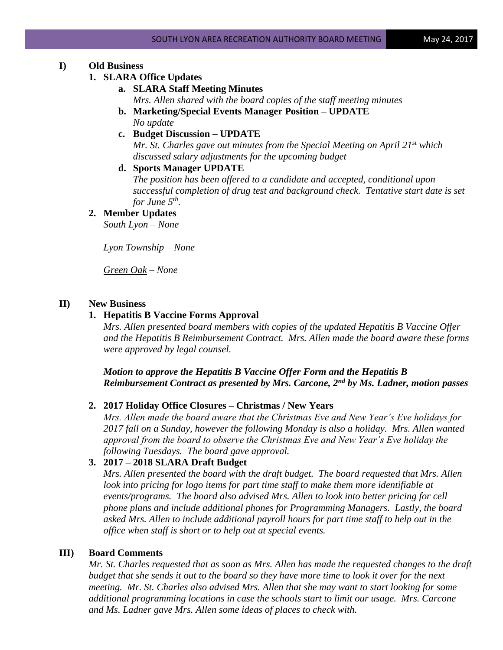## **I) Old Business**

### **1. SLARA Office Updates**

## **a. SLARA Staff Meeting Minutes**

*Mrs. Allen shared with the board copies of the staff meeting minutes*

- **b. Marketing/Special Events Manager Position – UPDATE** *No update*
- **c. Budget Discussion – UPDATE**

*Mr. St. Charles gave out minutes from the Special Meeting on April 21st which discussed salary adjustments for the upcoming budget*

### **d. Sports Manager UPDATE**

*The position has been offered to a candidate and accepted, conditional upon successful completion of drug test and background check. Tentative start date is set for June 5th .*

# **2. Member Updates**

*South Lyon – None*

*Lyon Township – None*

*Green Oak – None*

# **II) New Business**

### **1. Hepatitis B Vaccine Forms Approval**

*Mrs. Allen presented board members with copies of the updated Hepatitis B Vaccine Offer and the Hepatitis B Reimbursement Contract. Mrs. Allen made the board aware these forms were approved by legal counsel.*

*Motion to approve the Hepatitis B Vaccine Offer Form and the Hepatitis B Reimbursement Contract as presented by Mrs. Carcone, 2nd by Ms. Ladner, motion passes*

### **2. 2017 Holiday Office Closures – Christmas / New Years**

*Mrs. Allen made the board aware that the Christmas Eve and New Year's Eve holidays for 2017 fall on a Sunday, however the following Monday is also a holiday. Mrs. Allen wanted approval from the board to observe the Christmas Eve and New Year's Eve holiday the following Tuesdays. The board gave approval.*

# **3. 2017 – 2018 SLARA Draft Budget**

*Mrs. Allen presented the board with the draft budget. The board requested that Mrs. Allen*  look into pricing for logo items for part time staff to make them more identifiable at *events/programs. The board also advised Mrs. Allen to look into better pricing for cell phone plans and include additional phones for Programming Managers. Lastly, the board asked Mrs. Allen to include additional payroll hours for part time staff to help out in the office when staff is short or to help out at special events.*

### **III) Board Comments**

*Mr. St. Charles requested that as soon as Mrs. Allen has made the requested changes to the draft budget that she sends it out to the board so they have more time to look it over for the next meeting. Mr. St. Charles also advised Mrs. Allen that she may want to start looking for some additional programming locations in case the schools start to limit our usage. Mrs. Carcone and Ms. Ladner gave Mrs. Allen some ideas of places to check with.*